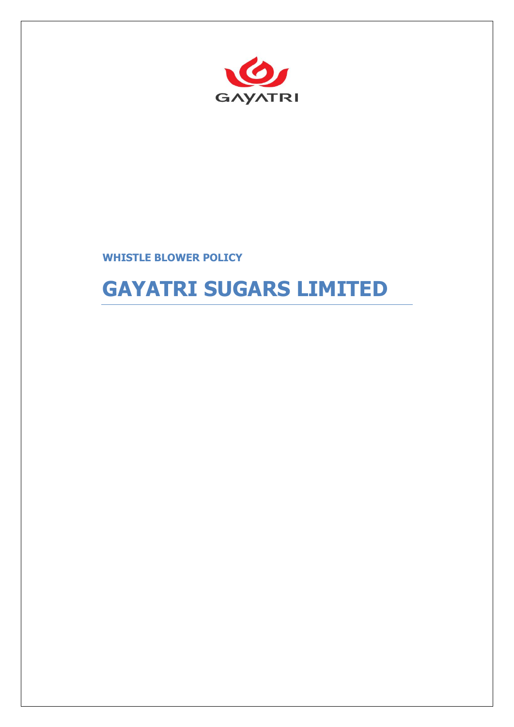

## **WHISTLE BLOWER POLICY**

# **GAYATRI SUGARS LIMITED**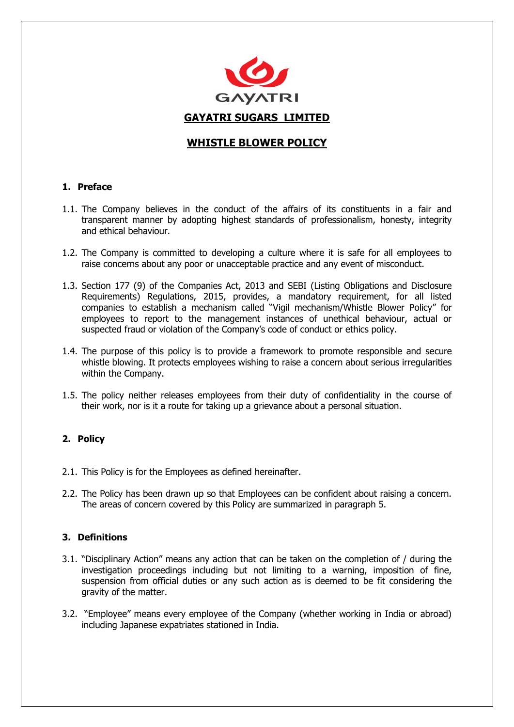

## **WHISTLE BLOWER POLICY**

## **1. Preface**

- 1.1. The Company believes in the conduct of the affairs of its constituents in a fair and transparent manner by adopting highest standards of professionalism, honesty, integrity and ethical behaviour.
- 1.2. The Company is committed to developing a culture where it is safe for all employees to raise concerns about any poor or unacceptable practice and any event of misconduct.
- 1.3. Section 177 (9) of the Companies Act, 2013 and SEBI (Listing Obligations and Disclosure Requirements) Regulations, 2015, provides, a mandatory requirement, for all listed companies to establish a mechanism called "Vigil mechanism/Whistle Blower Policy" for employees to report to the management instances of unethical behaviour, actual or suspected fraud or violation of the Company's code of conduct or ethics policy.
- 1.4. The purpose of this policy is to provide a framework to promote responsible and secure whistle blowing. It protects employees wishing to raise a concern about serious irregularities within the Company.
- 1.5. The policy neither releases employees from their duty of confidentiality in the course of their work, nor is it a route for taking up a grievance about a personal situation.

## **2. Policy**

- 2.1. This Policy is for the Employees as defined hereinafter.
- 2.2. The Policy has been drawn up so that Employees can be confident about raising a concern. The areas of concern covered by this Policy are summarized in paragraph 5.

## **3. Definitions**

- 3.1. "Disciplinary Action" means any action that can be taken on the completion of / during the investigation proceedings including but not limiting to a warning, imposition of fine, suspension from official duties or any such action as is deemed to be fit considering the gravity of the matter.
- 3.2. "Employee" means every employee of the Company (whether working in India or abroad) including Japanese expatriates stationed in India.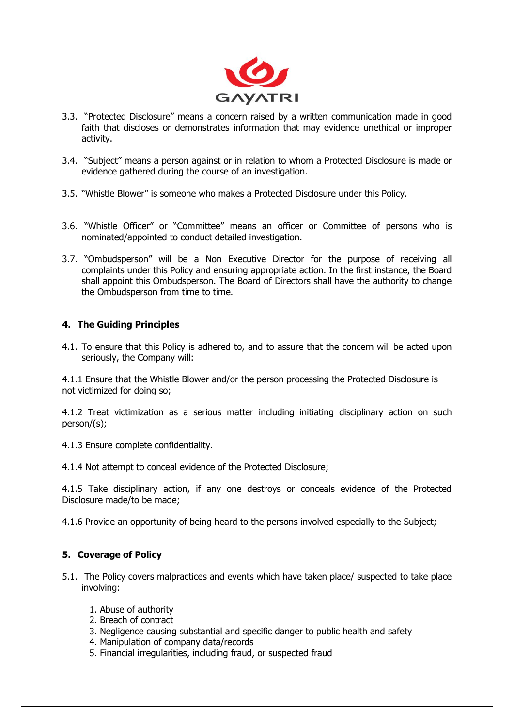

- 3.3. "Protected Disclosure" means a concern raised by a written communication made in good faith that discloses or demonstrates information that may evidence unethical or improper activity.
- 3.4. "Subject" means a person against or in relation to whom a Protected Disclosure is made or evidence gathered during the course of an investigation.
- 3.5. "Whistle Blower" is someone who makes a Protected Disclosure under this Policy.
- 3.6. "Whistle Officer" or "Committee" means an officer or Committee of persons who is nominated/appointed to conduct detailed investigation.
- 3.7. "Ombudsperson" will be a Non Executive Director for the purpose of receiving all complaints under this Policy and ensuring appropriate action. In the first instance, the Board shall appoint this Ombudsperson. The Board of Directors shall have the authority to change the Ombudsperson from time to time.

## **4. The Guiding Principles**

4.1. To ensure that this Policy is adhered to, and to assure that the concern will be acted upon seriously, the Company will:

4.1.1 Ensure that the Whistle Blower and/or the person processing the Protected Disclosure is not victimized for doing so;

4.1.2 Treat victimization as a serious matter including initiating disciplinary action on such person/(s);

4.1.3 Ensure complete confidentiality.

4.1.4 Not attempt to conceal evidence of the Protected Disclosure;

4.1.5 Take disciplinary action, if any one destroys or conceals evidence of the Protected Disclosure made/to be made;

4.1.6 Provide an opportunity of being heard to the persons involved especially to the Subject;

## **5. Coverage of Policy**

- 5.1. The Policy covers malpractices and events which have taken place/ suspected to take place involving:
	- 1. Abuse of authority
	- 2. Breach of contract
	- 3. Negligence causing substantial and specific danger to public health and safety
	- 4. Manipulation of company data/records
	- 5. Financial irregularities, including fraud, or suspected fraud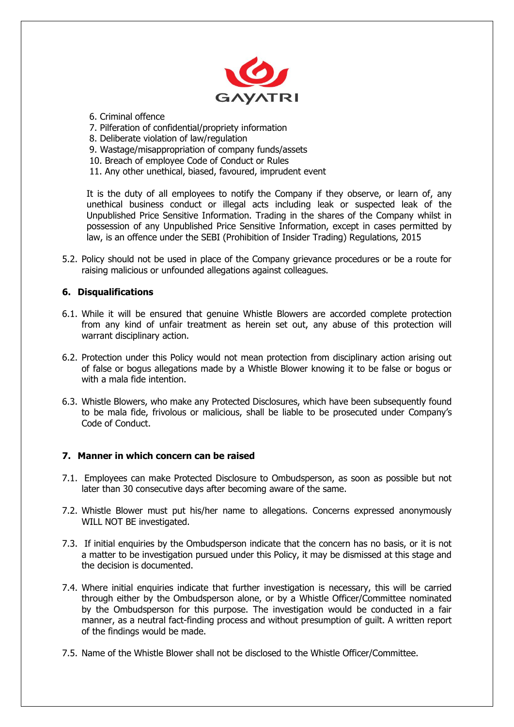

- 6. Criminal offence
- 7. Pilferation of confidential/propriety information
- 8. Deliberate violation of law/regulation
- 9. Wastage/misappropriation of company funds/assets
- 10. Breach of employee Code of Conduct or Rules
- 11. Any other unethical, biased, favoured, imprudent event

It is the duty of all employees to notify the Company if they observe, or learn of, any unethical business conduct or illegal acts including leak or suspected leak of the Unpublished Price Sensitive Information. Trading in the shares of the Company whilst in possession of any Unpublished Price Sensitive Information, except in cases permitted by law, is an offence under the SEBI (Prohibition of Insider Trading) Regulations, 2015

5.2. Policy should not be used in place of the Company grievance procedures or be a route for raising malicious or unfounded allegations against colleagues.

## **6. Disqualifications**

- 6.1. While it will be ensured that genuine Whistle Blowers are accorded complete protection from any kind of unfair treatment as herein set out, any abuse of this protection will warrant disciplinary action.
- 6.2. Protection under this Policy would not mean protection from disciplinary action arising out of false or bogus allegations made by a Whistle Blower knowing it to be false or bogus or with a mala fide intention.
- 6.3. Whistle Blowers, who make any Protected Disclosures, which have been subsequently found to be mala fide, frivolous or malicious, shall be liable to be prosecuted under Company's Code of Conduct.

#### **7. Manner in which concern can be raised**

- 7.1. Employees can make Protected Disclosure to Ombudsperson, as soon as possible but not later than 30 consecutive days after becoming aware of the same.
- 7.2. Whistle Blower must put his/her name to allegations. Concerns expressed anonymously WILL NOT BE investigated.
- 7.3. If initial enquiries by the Ombudsperson indicate that the concern has no basis, or it is not a matter to be investigation pursued under this Policy, it may be dismissed at this stage and the decision is documented.
- 7.4. Where initial enquiries indicate that further investigation is necessary, this will be carried through either by the Ombudsperson alone, or by a Whistle Officer/Committee nominated by the Ombudsperson for this purpose. The investigation would be conducted in a fair manner, as a neutral fact-finding process and without presumption of guilt. A written report of the findings would be made.
- 7.5. Name of the Whistle Blower shall not be disclosed to the Whistle Officer/Committee.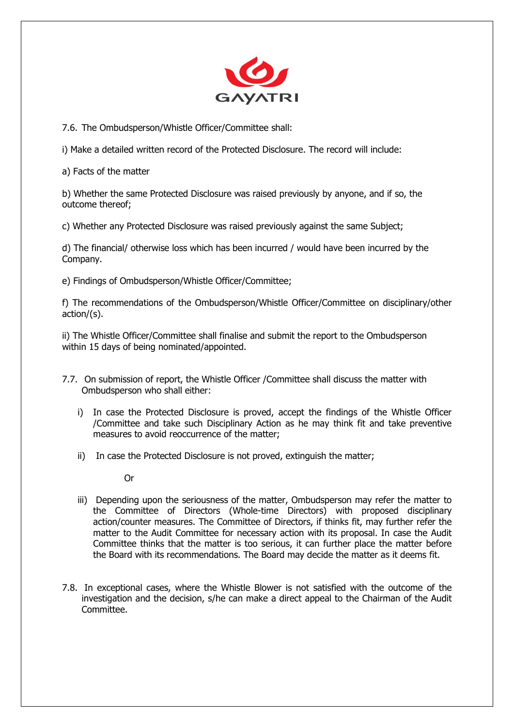

7.6. The Ombudsperson/Whistle Officer/Committee shall:

i) Make a detailed written record of the Protected Disclosure. The record will include:

a) Facts of the matter

b) Whether the same Protected Disclosure was raised previously by anyone, and if so, the outcome thereof;

c) Whether any Protected Disclosure was raised previously against the same Subject;

d) The financial/ otherwise loss which has been incurred / would have been incurred by the Company.

e) Findings of Ombudsperson/Whistle Officer/Committee;

f) The recommendations of the Ombudsperson/Whistle Officer/Committee on disciplinary/other action/(s).

ii) The Whistle Officer/Committee shall finalise and submit the report to the Ombudsperson within 15 days of being nominated/appointed.

- 7.7. On submission of report, the Whistle Officer /Committee shall discuss the matter with Ombudsperson who shall either:
	- i) In case the Protected Disclosure is proved, accept the findings of the Whistle Officer /Committee and take such Disciplinary Action as he may think fit and take preventive measures to avoid reoccurrence of the matter;
	- ii) In case the Protected Disclosure is not proved, extinguish the matter;

Or

- iii) Depending upon the seriousness of the matter, Ombudsperson may refer the matter to the Committee of Directors (Whole-time Directors) with proposed disciplinary action/counter measures. The Committee of Directors, if thinks fit, may further refer the matter to the Audit Committee for necessary action with its proposal. In case the Audit Committee thinks that the matter is too serious, it can further place the matter before the Board with its recommendations. The Board may decide the matter as it deems fit.
- 7.8. In exceptional cases, where the Whistle Blower is not satisfied with the outcome of the investigation and the decision, s/he can make a direct appeal to the Chairman of the Audit Committee.